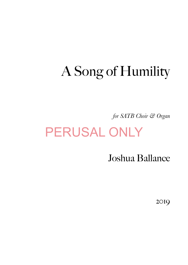# A Song of Humility

*for SATB Choir & Organ* 

# PERUSAL ONLY

Joshua Ballance

2019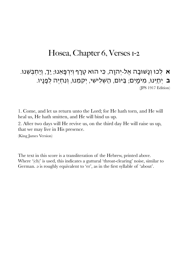## Hosea, Chapter 6, Verses 1-2

### א לְכוּ וְנַשׁוּּבָה אֵל-יִהוַה, כִּי הוּא טָרָף וְיִרְפָּאֵנוּ; יַךְ, וְיַחְבְּשֵׁנוּ. **ב** יְחַיֵּנוּ, מִיּמָים; בַּיּוֹם, הַשְׁלִישִׁי, יְקִמֵנוּ, וְנִחְיֶה לְפָנַיו. (JPS 1917 Edition)

1. Come, and let us return unto the Lord; for He hath torn, and He will heal us, He hath smitten, and He will bind us up.

2. After two days will He revive us, on the third day He will raise us up, that we may live in His presence.

(King James Version)

The text in this score is a transliteration of the Hebrew, printed above. Where '(ch)' is used, this indicates a guttural 'throat-clearing' noise, similar to German. ə is roughly equivalent to 'er', as in the first syllable of 'about'.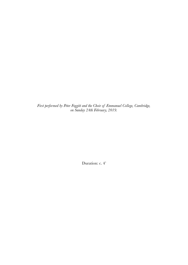*First performed by Peter Foggitt and the Choir of Emmanuel College, Cambridge, on Sunday 24th February, 2019.* 

Duration: c. 4'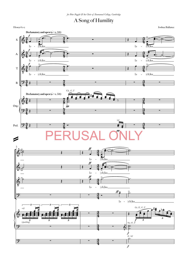### A Song of Humility

Hosea 6:1-2 6:1-2 Joshua Ballance

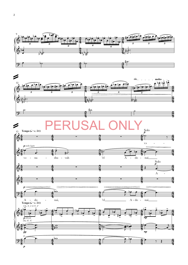

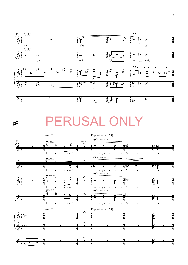

#### = PERUSAL ONLY

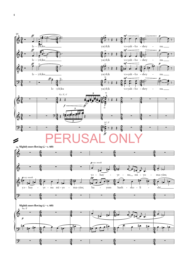

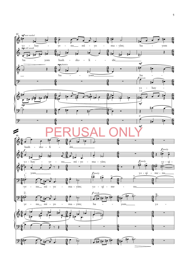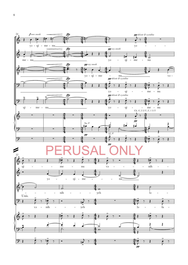